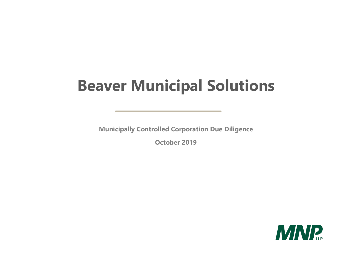# **Beaver Municipal Solutions**

**Municipally Controlled Corporation Due Diligence** 

**October 2019** 

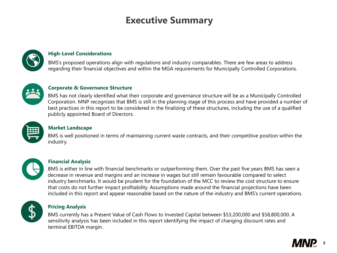**2**

#### **High-Level Considerations**

### **Executive Summary**



#### **Market Landscape**

#### **Corporate & Governance Structure**

#### **Financial Analysis**

#### **Pricing Analysis**

BMS's proposed operations align with regulations and industry comparables. There are few areas to address regarding their financial objectives and within the MGA requirements for Municipally Controlled Corporations.



BMS has not clearly identified what their corporate and governance structure will be as a Municipally Controlled Corporation. MNP recognizes that BMS is still in the planning stage of this process and have provided a number of best practices in this report to be considered in the finalizing of these structures, including the use of a qualified publicly appointed Board of Directors.



BMS is well positioned in terms of maintaining current waste contracts, and their competitive position within the industry.



BMS is either in line with financial benchmarks or outperforming them. Over the past five years BMS has seen a decrease in revenue and margins and an increase in wages but still remain favourable compared to select industry benchmarks. It would be prudent for the foundation of the MCC to review the cost structure to ensure that costs do not further impact profitability. Assumptions made around the financial projections have been included in this report and appear reasonable based on the nature of the industry and BMS's current operations.



BMS currently has a Present Value of Cash Flows to Invested Capital between \$53,200,000 and \$58,800,000. A sensitivity analysis has been included in this report identifying the impact of changing discount rates and terminal EBITDA margin.



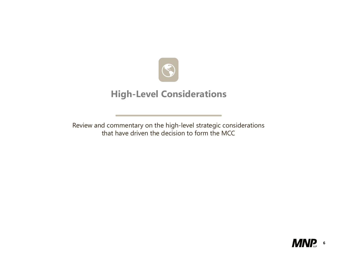



### **High-Level Considerations**

Review and commentary on the high-level strategic considerations that have driven the decision to form the MCC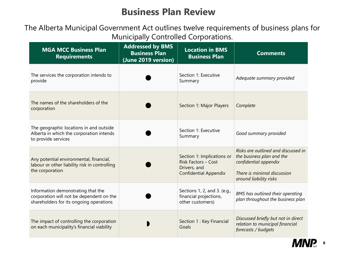

### **Business Plan Review**

| <b>MGA MCC Business Plan</b><br><b>Requirements</b>                                                                       | <b>Addressed by BMS</b><br><b>Business Plan</b><br>(June 2019 version) | <b>Location in BMS</b><br><b>Business Plan</b>                                                           | <b>Comments</b>                                                                                                                                    |
|---------------------------------------------------------------------------------------------------------------------------|------------------------------------------------------------------------|----------------------------------------------------------------------------------------------------------|----------------------------------------------------------------------------------------------------------------------------------------------------|
| The services the corporation intends to<br>provide                                                                        |                                                                        | Section 1: Executive<br>Summary                                                                          | Adequate summary provided                                                                                                                          |
| The names of the shareholders of the<br>corporation                                                                       |                                                                        | Section 1: Major Players                                                                                 | Complete                                                                                                                                           |
| The geographic locations in and outside<br>Alberta in which the corporation intends<br>to provide services                |                                                                        | Section 1: Executive<br>Summary                                                                          | Good summary provided                                                                                                                              |
| Any potential environmental, financial,<br>labour or other liability risk in controlling<br>the corporation               |                                                                        | Section 1: Implications or<br><b>Risk Factors - Cost</b><br>Drivers, and<br><b>Confidential Appendix</b> | Risks are outlined and discussed in<br>the business plan and the<br>confidential appendix<br>There is minimal discussion<br>around liability risks |
| Information demonstrating that the<br>corporation will not be dependent on the<br>shareholders for its ongoing operations |                                                                        | Sections 1, 2, and 3. (e.g.,<br>financial projections,<br>other customers)                               | BMS has outlined their operating<br>plan throughout the business plan                                                                              |
| The impact of controlling the corporation<br>on each municipality's financial viability                                   |                                                                        | Section 1 : Key Financial<br>Goals                                                                       | Discussed briefly but not in direct<br>relation to municipal financial<br>forecasts / budgets                                                      |

### The Alberta Municipal Government Act outlines twelve requirements of business plans for Municipally Controlled Corporations.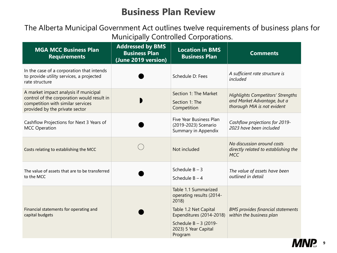

### **Business Plan Review**

| <b>MGA MCC Business Plan</b><br><b>Requirements</b>                                                                                                        | <b>Addressed by BMS</b><br><b>Business Plan</b><br>(June 2019 version) | <b>Location in BMS</b><br><b>Business Plan</b>                                                                  | <b>Comments</b>                                                                                        |
|------------------------------------------------------------------------------------------------------------------------------------------------------------|------------------------------------------------------------------------|-----------------------------------------------------------------------------------------------------------------|--------------------------------------------------------------------------------------------------------|
| In the case of a corporation that intends<br>to provide utility services, a projected<br>rate structure                                                    |                                                                        | Schedule D: Fees                                                                                                | A sufficient rate structure is<br>included                                                             |
| A market impact analysis if municipal<br>control of the corporation would result in<br>competition with similar services<br>provided by the private sector |                                                                        | Section 1: The Market<br>Section 1: The<br>Competition                                                          | <b>Highlights Competitors' Strengths</b><br>and Market Advantage, but a<br>thorough MIA is not evident |
| Cashflow Projections for Next 3 Years of<br><b>MCC Operation</b>                                                                                           |                                                                        | Five Year Business Plan<br>(2019-2023) Scenario<br><b>Summary in Appendix</b>                                   | Cashflow projections for 2019-<br>2023 have been included                                              |
| Costs relating to establishing the MCC                                                                                                                     |                                                                        | Not included                                                                                                    | No discussion around costs<br>directly related to establishing the<br><b>MCC</b>                       |
| The value of assets that are to be transferred<br>to the MCC                                                                                               |                                                                        | Schedule $B - 3$<br>Schedule $B - 4$                                                                            | The value of assets have been<br>outlined in detail                                                    |
|                                                                                                                                                            |                                                                        | Table 1.1 Summarized<br>operating results (2014-<br>2018)                                                       |                                                                                                        |
| Financial statements for operating and<br>capital budgets                                                                                                  |                                                                        | Table 1.2 Net Capital<br>Expenditures (2014-2018)<br>Schedule $B - 3$ (2019-<br>2023) 5 Year Capital<br>Program | <b>BMS provides financial statements</b><br>within the business plan                                   |

### The Alberta Municipal Government Act outlines twelve requirements of business plans for Municipally Controlled Corporations.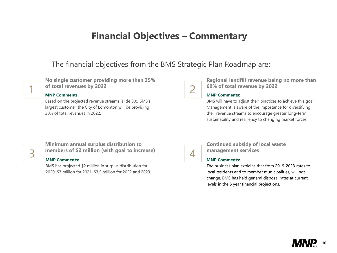

### **Financial Objectives – Commentary**

**No single customer providing more than 35% definitives** of total revenues by 2022<br>MNP Comments:

### The financial objectives from the BMS Strategic Plan Roadmap are:

Based on the projected revenue streams (slide 30), BMS's largest customer, the City of Edmonton will be providing 30% of total revenues in 2022.

7

**Regional landfill revenue being no more than 60% of total revenue by 2022**

#### **MNP Comments:**

BMS will have to adjust their practices to achieve this goal. Management is aware of the importance for diversifying their revenue streams to encourage greater long-term sustainability and resiliency to changing market forces.

#### **MNP Comments:**

BMS has projected \$2 million in surplus distribution for 2020, \$3 million for 2021, \$3.5 million for 2022 and 2023.



**Continued subsidy of local waste management services**

### **Minimum annual surplus distribution to members of \$2 million (with goal to increase)** 3 4

#### **MNP Comments:**

The business plan explains that from 2019-2023 rates to local residents and to member municipalities, will not change. BMS has held general disposal rates at current levels in the 5 year financial projections.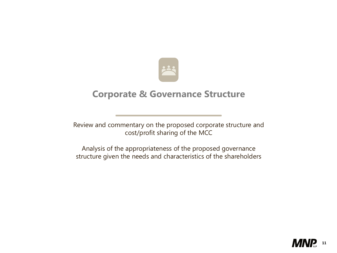



### **Corporate & Governance Structure**

Review and commentary on the proposed corporate structure and cost/profit sharing of the MCC

Analysis of the appropriateness of the proposed governance structure given the needs and characteristics of the shareholders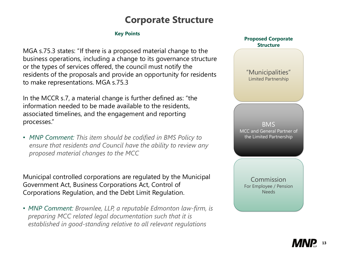

### **Corporate Structure**

#### **Key Points**

MGA s.75.3 states: "If there is a proposed material change to the business operations, including a change to its governance structure or the types of services offered, the council must notify the residents of the proposals and provide an opportunity for residents to make representations. MGA s.75.3

In the MCCR s.7, a material change is further defined as: "the information needed to be made available to the residents, associated timelines, and the engagement and reporting processes."

• *MNP Comment: This item should be codified in BMS Policy to ensure that residents and Council have the ability to review any proposed material changes to the MCC*

Municipal controlled corporations are regulated by the Municipal Government Act, Business Corporations Act, Control of Corporations Regulation, and the Debt Limit Regulation.

• *MNP Comment: Brownlee, LLP, a reputable Edmonton law-firm, is preparing MCC related legal documentation such that it is established in good-standing relative to all relevant regulations*



BMS MCC and General Partner of the Limited Partnership

"Municipalities" Limited Partnership

Commission For Employee / Pension Needs

#### **Proposed Corporate Structure**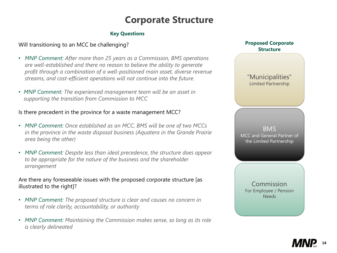

### **Corporate Structure**

#### **Key Questions**

BMS MCC and General Partner of the Limited Partnership

"Municipalities" Limited Partnership

Commission For Employee / Pension Needs

#### **Proposed Corporate Structure**

### Will transitioning to an MCC be challenging?

- *MNP Comment: After more than 25 years as a Commission, BMS operations are well-established and there no reason to believe the ability to generate profit through a combination of a well-positioned main asset, diverse revenue streams, and cost-efficient operations will not continue into the future.*
- *MNP Comment: The experienced management team will be an asset in supporting the transition from Commission to MCC*

- MNP Comment: The proposed structure is clear and causes no concern in *terms of role clarity, accountability, or authority*
- *MNP Comment: Maintaining the Commission makes sense, so long as its role is clearly delineated*

#### Is there precedent in the province for a waste management MCC?

- *MNP Comment: Once established as an MCC, BMS will be one of two MCCs in the province in the waste disposal business (Aquatera in the Grande Prairie area being the other)*
- *MNP Comment: Despite less than ideal precedence, the structure does appear to be appropriate for the nature of the business and the shareholder arrangement*

### Are there any foreseeable issues with the proposed corporate structure [as illustrated to the right]?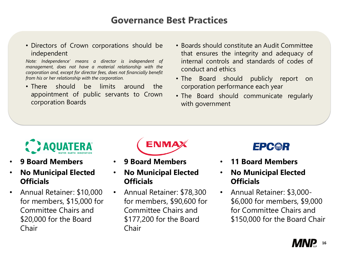

### **Governance Best Practices**

• Directors of Crown corporations should be independent

*Note: Independence' means a director is independent of management, does not have a material relationship with the corporation and, except for director fees, does not financially benefit from his or her relationship with the corporation.*

• Boards should constitute an Audit Committee that ensures the integrity and adequacy of internal controls and standards of codes of

- There should be limits around the appointment of public servants to Crown corporation Boards
- conduct and ethics
- 
- with government



• The Board should publicly report on corporation performance each year

• The Board should communicate regularly



- **9 Board Members**
- **No Municipal Elected Officials**
- Annual Retainer: \$10,000 for members, \$15,000 for Committee Chairs and \$20,000 for the Board Chair



- **9 Board Members**
- **No Municipal Elected Officials**
- Annual Retainer: \$78,300 for members, \$90,600 for Committee Chairs and \$177,200 for the Board Chair
- **11 Board Members**
- **No Municipal Elected Officials**
- Annual Retainer: \$3,000- \$6,000 for members, \$9,000 for Committee Chairs and \$150,000 for the Board Chair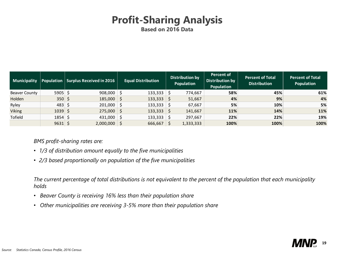

### **Profit-Sharing Analysis Based on 2016 Data**

*BMS profit-sharing rates are:*

- *1/3 of distribution amount equally to the five municipalities*
- *2/3 based proportionally on population of the five municipalities*

*The current percentage of total distributions is not equivalent to the percent of the population that each municipality holds* 

- *Beaver County is receiving 16% less than their population share*
- *Other municipalities are receiving 3-5% more than their population share*

| <b>Municipality</b>  | <b>Population</b> | <b>Surplus Received in 2016</b> |              | <b>Equal Distribution</b> |              | Distribution by<br>Population | <b>Percent of</b><br>Distribution by<br>Population | <b>Percent of Total</b><br><b>Distribution</b> | <b>Percent of Total</b><br>Population |
|----------------------|-------------------|---------------------------------|--------------|---------------------------|--------------|-------------------------------|----------------------------------------------------|------------------------------------------------|---------------------------------------|
| <b>Beaver County</b> | $5905 \mid 5$     | 908,000                         |              | 133,333                   | $\vert$ \$   | 774,667                       | 58%                                                | 45%                                            | 61%                                   |
| Holden               | $350 \, \simeq$   | $185,000$ \$                    |              | 133,333                   | $\vert$ \$   | 51,667                        | 4%                                                 | 9%                                             | 4%                                    |
| Ryley                | $483 \mid 5$      | 201,000                         | -S           | 133,333                   | $\vert$ \$   | 67,667                        | 5%                                                 | 10%                                            | 5%                                    |
| <b>Viking</b>        | $1039 \mid 5$     | $275,000$   \$                  |              | 133,333                   | $\varsigma$  | 141,667                       | 11%                                                | 14%                                            | 11%                                   |
| <b>Tofield</b>       | $1854 \mid 5$     | 431,000                         | $\mathsf{S}$ | 133,333                   | \$           | 297,667                       | 22%                                                | 22%                                            | 19%                                   |
|                      | $9631 \mid 5$     | 2,000,000                       |              | 666,667                   | $\mathsf{S}$ | 1,333,333                     | 100%                                               | 100%                                           | 100%                                  |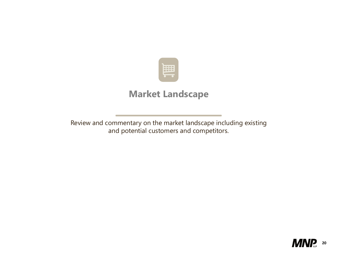



### **Market Landscape**

Review and commentary on the market landscape including existing and potential customers and competitors.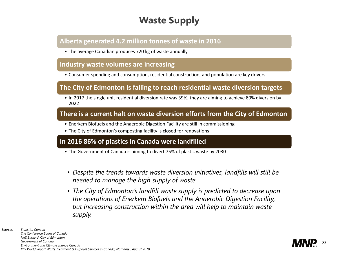

### **Waste Supply**

*Sources: Statistics Canada The Conference Board of Canada Neil Burkard, City of Edmonton Government of Canada Environment and Climate change Canada IBIS World Report Waste Treatment & Disposal Services in Canada, Nathaniel. August 2018.*

### **Alberta generated 4.2 million tonnes of waste in 2016**

• The average Canadian produces 720 kg of waste annually

### **Industry waste volumes are increasing**

• Consumer spending and consumption, residential construction, and population are key drivers

- The Government of Canada is aiming to divert 75% of plastic waste by 2030
- *Despite the trends towards waste diversion initiatives, landfills will still be needed to manage the high supply of waste.*
- *The City of Edmonton's landfill waste supply is predicted to decrease upon the operations of Enerkem Biofuels and the Anaerobic Digestion Facility, but increasing construction within the area will help to maintain waste supply.*

### **The City of Edmonton is failing to reach residential waste diversion targets**

• In 2017 the single unit residential diversion rate was 39%, they are aiming to achieve 80% diversion by 2022

### **There is a current halt on waste diversion efforts from the City of Edmonton**

- Enerkem Biofuels and the Anaerobic Digestion Facility are still in commissioning
- The City of Edmonton's composting facility is closed for renovations

### **In 2016 86% of plastics in Canada were landfilled**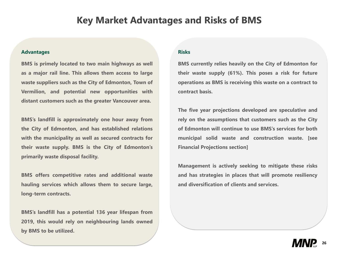

### **Key Market Advantages and Risks of BMS**

#### **Advantages**

**BMS is primely located to two main highways as well as a major rail line. This allows them access to large waste suppliers such as the City of Edmonton, Town of Vermilion, and potential new opportunities with distant customers such as the greater Vancouver area.**

**BMS's landfill is approximately one hour away from the City of Edmonton, and has established relations with the municipality as well as secured contracts for their waste supply. BMS is the City of Edmonton's primarily waste disposal facility.**

**BMS offers competitive rates and additional waste hauling services which allows them to secure large, long-term contracts.**

**BMS's landfill has a potential 136 year lifespan from 2019, this would rely on neighbouring lands owned by BMS to be utilized.**

#### **Risks**

**BMS currently relies heavily on the City of Edmonton for their waste supply (61%). This poses a risk for future operations as BMS is receiving this waste on a contract to contract basis.**

**The five year projections developed are speculative and rely on the assumptions that customers such as the City of Edmonton will continue to use BMS's services for both municipal solid waste and construction waste. [see Financial Projections section]**

**Management is actively seeking to mitigate these risks and has strategies in places that will promote resiliency and diversification of clients and services.**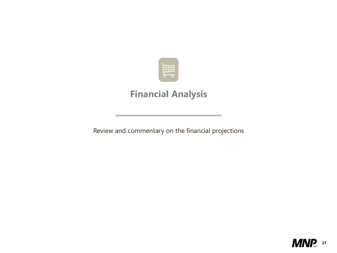



### **Financial Analysis**

Review and commentary on the financial projections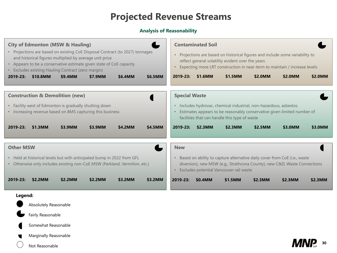

### **Projected Revenue Streams**

#### **Analysis of Reasonability**



| lioi                    |                                  |                                                                                                                           |         |         |
|-------------------------|----------------------------------|---------------------------------------------------------------------------------------------------------------------------|---------|---------|
|                         | platility evident over the years | ased on historical figures and include some variability to<br>LRT construction in near-term to maintain / increase levels |         |         |
| $\overline{\mathsf{M}}$ | \$1.5MM                          | \$2.0MM                                                                                                                   | \$2.0MM | \$2.0MM |
|                         |                                  |                                                                                                                           |         |         |
|                         |                                  | ic, chemical industrial, non-hazardous, asbestos                                                                          |         |         |
|                         | handle this type of waste        | rs to be reasonably conservative given limited number of                                                                  |         |         |
| $\overline{\mathsf{M}}$ | \$2.3MM                          | \$2.5MM                                                                                                                   | \$3.0MM | \$3.0MM |
|                         |                                  |                                                                                                                           |         |         |
|                         |                                  |                                                                                                                           |         |         |

• Based on ability to capture alternative daily cover from CoE (i.e., waste diversion), new MSW (e.g., Strathcona County), new C&D, Waste Connections • Excludes potential Vancouver rail waste

| \$1.5MM | \$2.3MM | \$2.3MM | \$2.3MM |
|---------|---------|---------|---------|
|         |         |         |         |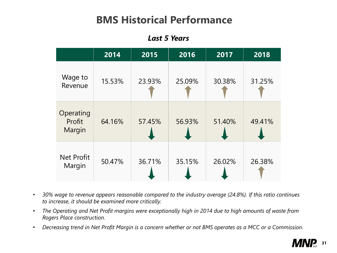## **BMS Historical Performance**

|                               | 2014   | 2015   | 2016   | 2017   | 2018   |
|-------------------------------|--------|--------|--------|--------|--------|
| Wage to<br>Revenue            | 15.53% | 23.93% | 25.09% | 30.38% | 31.25% |
| Operating<br>Profit<br>Margin | 64.16% | 57.45% | 56.93% | 51.40% | 49.41% |
| Net Profit<br>Margin          | 50.47% | 36.71% | 35.15% | 26.02% | 26.38% |

### *Last 5 Years*

- *30% wage to revenue appears reasonable compared to the industry average (24.8%). If this ratio continues to increase, it should be examined more critically.*
- *The Operating and Net Profit margins were exceptionally high in 2014 due to high amounts of waste from Rogers Place construction.*
- *Decreasing trend in Net Profit Margin is a concern whether or not BMS operates as a MCC or a Commission.*

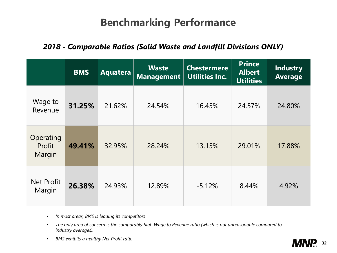|                               | <b>BMS</b> | Aquatera | <b>Waste</b><br><b>Management</b> | <b>Chestermere</b><br><b>Utilities Inc.</b> | <b>Prince</b><br><b>Albert</b><br><b>Utilities</b> | <b>Industry</b><br><b>Average</b> |
|-------------------------------|------------|----------|-----------------------------------|---------------------------------------------|----------------------------------------------------|-----------------------------------|
| Wage to<br>Revenue            | 31.25%     | 21.62%   | 24.54%                            | 16.45%                                      | 24.57%                                             | 24.80%                            |
| Operating<br>Profit<br>Margin | 49.41%     | 32.95%   | 28.24%                            | 13.15%                                      | 29.01%                                             | 17.88%                            |
| <b>Net Profit</b><br>Margin   | 26.38%     | 24.93%   | 12.89%                            | $-5.12\%$                                   | 8.44%                                              | 4.92%                             |

## **Benchmarking Performance**

### *2018 - Comparable Ratios (Solid Waste and Landfill Divisions ONLY)*

- *In most areas, BMS is leading its competitors*
- *The only area of concern is the comparably high Wage to Revenue ratio (which is not unreasonable compared to industry averages).*
- *BMS exhibits a healthy Net Profit ratio*

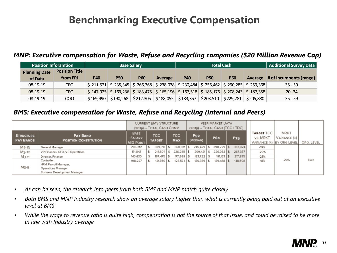

## **Benchmarking Executive Compensation**

### *MNP: Executive compensation for Waste, Refuse and Recycling companies (\$20 Million Revenue Cap)*

### *BMS: Executive compensation for Waste, Refuse and Recycling (Internal and Peers)*

|                                      | <b>CURRENT BMS STRUCTURE</b><br>(2019) -- TOTAL CASH COMP                                          |                                                  |  |                       | PEER MARKET DATA<br>$(2019) - TOTAL CASH (TCC / TDC)$ |                    |  |                        |  |                |  |            |                                               |                                                    |            |
|--------------------------------------|----------------------------------------------------------------------------------------------------|--------------------------------------------------|--|-----------------------|-------------------------------------------------------|--------------------|--|------------------------|--|----------------|--|------------|-----------------------------------------------|----------------------------------------------------|------------|
| <b>STRUCTURE</b><br><b>PAY BANDS</b> | <b>PAY BAND</b><br><b>POSITION CONSTITUTION</b>                                                    | <b>BASE</b><br><b>SALARY</b><br><b>MID-POINT</b> |  | TCC.<br><b>TARGET</b> |                                                       | TCC.<br><b>MAX</b> |  | <b>P50</b><br>(MEDIAN) |  | <b>P60</b>     |  | <b>P75</b> | <b>TARGET TCC</b><br>vs. MRKT<br>VARIANCE (%) | <b>MRKT</b><br><b>VARIANCE (%)</b><br>BY ORG LEVEL | ORG. LEVEL |
| M4-13                                | General Manager                                                                                    | 206,212                                          |  | 309,318               |                                                       | 360,871            |  | $245.429$ \$           |  | $298,229$ \$   |  | 382,924    | $-19%$                                        |                                                    |            |
| M3-12                                | VP Finance / CFO, VP Operations                                                                    | 171,843                                          |  | 214,804               |                                                       | $236.285$ \$       |  | $209.421$ \$           |  | $226.053$ \$   |  | 267.357    | $-20%$                                        |                                                    |            |
| M3-11                                | Director, Finance                                                                                  | 145,630                                          |  | $167.475$ \$          |                                                       | $177.669$ \$       |  | $183.722$ \$           |  | 191,123 \$     |  | 217,985    | $-23%$                                        |                                                    |            |
| M3-9                                 | Controller,<br>HR & Payroll Manager,<br>Operations Manager,<br><b>Business Development Manager</b> | 108,227                                          |  | $121.756$ \$          |                                                       | $128.574$ \$       |  | 130,389 \$             |  | $139.488$   \$ |  | 148,508    | $-18%$                                        | $-20%$                                             | Exec       |

- *As can be seen, the research into peers from both BMS and MNP match quite closely*
- *Both BMS and MNP Industry research show an average salary higher than what is currently being paid out at an executive level at BMS*
- *While the wage to revenue ratio is quite high, compensation is not the source of that issue, and could be raised to be more in line with Industry average*

|                      | <b>Position Inforamtion</b><br><b>Base Salary</b> |            |                                                                                                                                                         |            |                |            | <b>Total Cash</b> | Additional Survey Data                                            |           |                                 |  |
|----------------------|---------------------------------------------------|------------|---------------------------------------------------------------------------------------------------------------------------------------------------------|------------|----------------|------------|-------------------|-------------------------------------------------------------------|-----------|---------------------------------|--|
| <b>Planning Date</b> | <b>Position Title</b>                             |            |                                                                                                                                                         |            |                |            |                   |                                                                   |           |                                 |  |
| of Data              | from ERI                                          | <b>P40</b> | <b>P50</b>                                                                                                                                              | <b>P60</b> | <b>Average</b> | <b>P40</b> | <b>P50</b>        | <b>P60</b>                                                        |           | Average # of Incumbents (range) |  |
| 08-19-19             | <b>CEO</b>                                        |            | $\vert$ \$ 211,521 $\vert$ \$ 235,345 $\vert$ \$ 266,368 $\vert$ \$ 238,038 $\vert$ \$ 230,484 $\vert$ \$ 256,462 $\vert$ \$ 290,285 $\vert$ \$ 259,368 |            |                |            |                   |                                                                   |           | $35 - 59$                       |  |
| $08 - 19 - 19$       | <b>CFO</b>                                        |            | $\vert$ \$ 147,925 $\vert$ \$ 163,236 $\vert$ \$ 183,475 $\vert$ \$ 165,196 $\vert$ \$ 167,518 $\vert$ \$ 185,176 $\vert$ \$ 208,243 $\vert$ \$ 187,358 |            |                |            |                   |                                                                   |           | $20 - 34$                       |  |
| 08-19-19             | <b>COO</b>                                        | \$169,490  |                                                                                                                                                         |            |                |            |                   | $$190,268$ $$212,305$ $$188,055$ $$183,357$ $$203,510$ $$229,781$ | \$205,880 | $35 - 59$                       |  |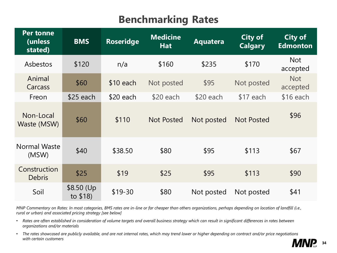

| <b>Per tonne</b><br>(unless<br>stated) | <b>BMS</b>              | <b>Roseridge</b> | <b>Medicine</b><br><b>Hat</b> | <b>Aquatera</b> | <b>City of</b><br><b>Calgary</b> | <b>City of</b><br><b>Edmonton</b> |
|----------------------------------------|-------------------------|------------------|-------------------------------|-----------------|----------------------------------|-----------------------------------|
| Asbestos                               | \$120                   | n/a              | \$160                         | \$235           | \$170                            | <b>Not</b><br>accepted            |
| Animal<br>Carcass                      | \$60                    | $$10$ each       | Not posted                    | \$95            | Not posted                       | <b>Not</b><br>accepted            |
| Freon                                  | \$25 each               | $$20$ each       | $$20$ each                    | $$20$ each      | $$17$ each                       | \$16 each                         |
| Non-Local<br>Waste (MSW)               | \$60                    | \$110            | <b>Not Posted</b>             | Not posted      | <b>Not Posted</b>                | \$96                              |
| Normal Waste<br>(MSW)                  | \$40                    | \$38.50          | \$80                          | \$95            | \$113                            | \$67                              |
| Construction<br><b>Debris</b>          | \$25                    | \$19             | \$25                          | \$95            | \$113                            | \$90                              |
| Soil                                   | \$8.50 (Up)<br>to \$18) | $$19-30$         | \$80                          | Not posted      | Not posted                       | \$41                              |

*MNP Commentary on Rates: In most categories, BMS rates are in-line or far cheaper than others organizations, perhaps depending on location of landfill (i.e., rural or urban) and associated pricing strategy [see below]*

- *Rates are often established in consideration of volume targets and overall business strategy which can result in significant differences in rates between organizations and/or materials*
- The rates showcased are publicly available, and are not internal rates, which may trend lower or higher depending on contract and/or price negotiations *with certain customers*

## **Benchmarking Rates**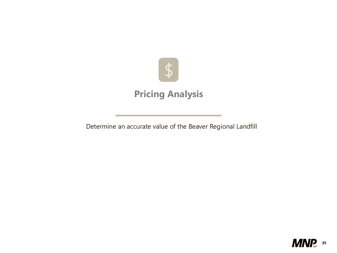

# \$

### **Pricing Analysis**

Determine an accurate value of the Beaver Regional Landfill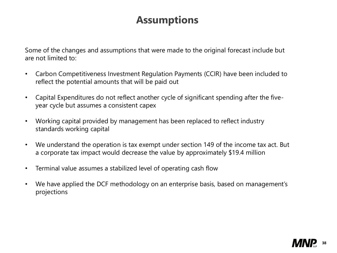

Some of the changes and assumptions that were made to the original forecast include but are not limited to:

- Carbon Competitiveness Investment Regulation Payments (CCIR) have been included to reflect the potential amounts that will be paid out
- Capital Expenditures do not reflect another cycle of significant spending after the fiveyear cycle but assumes a consistent capex
- Working capital provided by management has been replaced to reflect industry standards working capital
- We understand the operation is tax exempt under section 149 of the income tax act. But a corporate tax impact would decrease the value by approximately \$19.4 million
- Terminal value assumes a stabilized level of operating cash flow
- We have applied the DCF methodology on an enterprise basis, based on management's projections

## **Assumptions**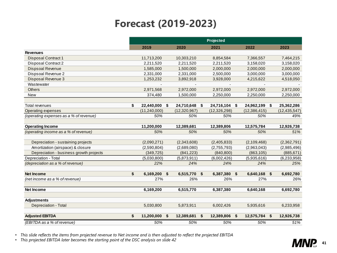

|                                         |                           |                 |                    |                |                           | <b>Projected</b> |                           |                |                           |                |
|-----------------------------------------|---------------------------|-----------------|--------------------|----------------|---------------------------|------------------|---------------------------|----------------|---------------------------|----------------|
|                                         |                           | 2019            |                    | 2020           |                           | 2021             |                           | 2022           |                           | 2023           |
| <b>Revenues</b>                         |                           |                 |                    |                |                           |                  |                           |                |                           |                |
| <b>Disposal Contract 1</b>              |                           | 11,713,200      |                    | 10,303,210     |                           | 8,854,584        |                           | 7,366,557      |                           | 7,464,215      |
| <b>Disposal Contract 2</b>              |                           | 2,211,520       |                    | 2,211,520      |                           | 2,211,520        |                           | 3,158,020      |                           | 3,158,020      |
| <b>Dispsoal Revenue</b>                 |                           | 1,585,000       |                    | 1,500,000      |                           | 2,000,000        |                           | 2,000,000      |                           | 2,000,000      |
| Dispsoal Revenue 2                      |                           | 2,331,000       |                    | 2,331,000      |                           | 2,500,000        |                           | 3,000,000      |                           | 3,000,000      |
| Disposal Revenue 3                      |                           | 1,253,232       |                    | 3,892,918      |                           | 3,928,000        |                           | 4,215,622      |                           | 4,518,050      |
| Wastewater                              |                           |                 |                    |                |                           |                  |                           |                |                           |                |
| <b>Others</b>                           |                           | 2,971,568       |                    | 2,972,000      |                           | 2,972,000        |                           | 2,972,000      |                           | 2,972,000      |
| <b>New</b>                              |                           | 374,480         |                    | 1,500,000      |                           | 2,250,000        |                           | 2,250,000      |                           | 2,250,000      |
|                                         |                           |                 |                    |                |                           |                  |                           |                |                           |                |
| Total revenues                          | \$                        | 22,440,000      | $\mathbf{\hat{S}}$ | 24,710,648     | $\boldsymbol{\mathsf{S}}$ | 24,716,104       | $\boldsymbol{\mathsf{s}}$ | 24,962,199     | $\boldsymbol{\mathsf{S}}$ | 25,362,286     |
| <b>Operating expenses</b>               |                           | (11, 240, 000)  |                    | (12, 320, 967) |                           | (12,326,298)     |                           | (12, 386, 415) |                           | (12, 435, 547) |
| (operating expenses as a % of revenue)  |                           | 50%             |                    | 50%            |                           | 50%              |                           | 50%            |                           | 49%            |
| <b>Operating Income</b>                 |                           | 11,200,000      |                    | 12,389,681     |                           | 12,389,806       |                           | 12,575,784     |                           | 12,926,738     |
| (operating income as a % of revenue)    |                           | 50%             |                    | 50%            |                           | 50%              |                           | 50%            |                           | 51%            |
| Depreciation - sustaining projects      |                           | (2,090,271)     |                    | (2,343,608)    |                           | (2,405,833)      |                           | (2,109,468)    |                           | (2,362,791)    |
| Amortization (airspace) & closure       |                           | (2,590,804)     |                    | (2,689,080)    |                           | (2,755,793)      |                           | (2,963,043)    |                           | (2,985,496)    |
| Depreciation - business growth projects |                           | (349, 725)      |                    | (841, 223)     |                           | (840, 800)       |                           | (863, 105)     |                           | (885, 671)     |
| Depreciation - Total                    |                           | (5,030,800)     |                    | (5,873,911)    |                           | (6,002,426)      |                           | (5,935,616)    |                           | (6,233,958)    |
| (depreciation as a % of revenue)        |                           | 22%             |                    | 24%            |                           | 24%              |                           | 24%            |                           | 25%            |
|                                         |                           |                 |                    |                |                           |                  |                           |                |                           |                |
| <b>Net Income</b>                       | $\boldsymbol{\mathsf{s}}$ | $6,169,200$ \$  |                    | 6,515,770      | $\boldsymbol{\mathsf{S}}$ | 6,387,380        | $\boldsymbol{\mathsf{S}}$ | 6,640,168      | $\sqrt{2}$                | 6,692,780      |
| (net income as a % of revenue)          |                           | 27%             |                    | 26%            |                           | 26%              |                           | <b>27%</b>     |                           | 26%            |
| <b>Net Income</b>                       |                           | 6,169,200       |                    | 6,515,770      |                           | 6,387,380        |                           | 6,640,168      |                           | 6,692,780      |
|                                         |                           |                 |                    |                |                           |                  |                           |                |                           |                |
| <b>Adjustments</b>                      |                           |                 |                    |                |                           |                  |                           |                |                           |                |
| Depreciation - Total                    |                           | 5,030,800       |                    | 5,873,911      |                           | 6,002,426        |                           | 5,935,616      |                           | 6,233,958      |
| <b>Adjusted EBITDA</b>                  | $\boldsymbol{\$}$         | $11,200,000$ \$ |                    | 12,389,681     | $\boldsymbol{\mathsf{S}}$ | 12,389,806       | $\boldsymbol{\mathsf{S}}$ | 12,575,784     | $\sqrt{2}$                | 12,926,738     |
| (EBITDA as a % of revenue)              |                           | 50%             |                    | 50%            |                           | 50%              |                           | 50%            |                           | 51%            |

• *This slide reflects the items from projected revenue to Net income and is then adjusted to reflect the projected EBITDA*

• *This projected EBITDA later becomes the starting point of the DSC analysis on slide 42*

## **Forecast (2019-2023)**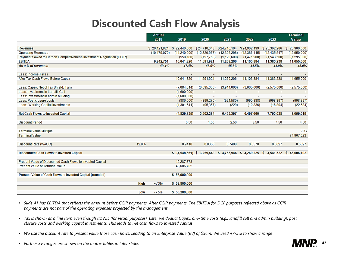

- Slide 41 has EBITDA that reflects the amount before CCIR payments. After CCIR payments. The EBITDA for DCF purposes reflected above as CCIR *payments are not part of the operating expenses projected by the management*
- *Tax is shown as a line item even though it's NIL (for visual purposes). Later we deduct Capex, one-time costs (e.g., landfill cell and admin building), post closure costs and working capital investments. This leads to net cash flows to invested capital*
- We use the discount rate to present value those cash flows. Leading to an Enterprise Value (EV) of \$56m. We used +/-5% to show a range
- *Further EV ranges are shown on the matrix tables in later slides*

## **Discounted Cash Flow Analysis**

|                                                                      |                  | <b>Actual</b>  |                           |                |                |                           |                | Terminal         |
|----------------------------------------------------------------------|------------------|----------------|---------------------------|----------------|----------------|---------------------------|----------------|------------------|
|                                                                      |                  | 2018           | 2019                      | 2020           | 2021           | 2022                      | 2023           | Value            |
|                                                                      |                  |                |                           |                |                |                           |                |                  |
| <b>Revenues</b>                                                      |                  | \$20,121,821   | \$22,440,000              | \$24,710,648   | \$24,716,104   | \$24,962,199              | \$25,362,286   | 25,900,000<br>\$ |
| Operating Expenses                                                   |                  | (10, 179, 070) | (11, 240, 000)            | (12, 320, 967) | (12, 326, 298) | (12, 386, 415)            | (12, 435, 547) | (12,950,000)     |
| Payments owed to Carbon Competitiveness Investment Regulation (CCIR) |                  |                | (558, 180)                | (797, 760)     | (1, 120, 600)  | (1,471,900)               | (1,543,500)    | (1,295,000)      |
| <b>EBITDA</b>                                                        |                  | 9,942,751      | 10,641,820                | 11,591,921     | 11,269,206     | 11,103,884                | 11,383,238     | 11,655,000       |
| As a % of revenues                                                   |                  | 49.4%          | 47.4%                     | 46.9%          | 45.6%          | 44.5%                     | 44.9%          | 45.0%            |
|                                                                      |                  |                |                           |                |                |                           |                |                  |
| Less: Income Taxes                                                   |                  |                | ÷.                        | $\sim$         | $\sim$         | $\sim$                    | $\equiv$       |                  |
| After-Tax Cash Flows Before Capex                                    |                  |                | 10,641,820                | 11,591,921     | 11,269,206     | 11,103,884                | 11,383,238     | 11,655,000       |
| Less: Capex, Net of Tax Shield, if any                               |                  |                | (7,084,014)               | (6,695,000)    | (3,914,000)    | (3,605,000)               | (2,575,000)    | (2,575,000)      |
| Less: Investment in Landfill Cell                                    |                  |                | (4,600,000)               |                | $\sim$         |                           | $\sim$         |                  |
| Less: Investment in admin building                                   |                  |                | (1,600,000)               | $\equiv$       | $\equiv$       | $\sim$                    | $\equiv$       |                  |
| Less: Post closure costs                                             |                  |                | (886,000)                 | (899, 270)     | (921,580)      | (990, 888)                | (998, 397)     | (998, 397)       |
| Less: Working Capital Investments                                    |                  |                | (1,301,641)               | (95, 367)      | (229)          | (10, 336)                 | (16, 804)      | (22, 584)        |
|                                                                      |                  |                |                           |                |                |                           |                |                  |
| <b>Net Cash Flows to Invested Capital</b>                            |                  |                | (4,829,835)               | 3,902,284      | 6,433,397      | 6,497,660                 | 7,793,038      | 8,059,019        |
| <b>Discount Period</b>                                               |                  |                | 0.50                      | 1.50           | 2.50           | 3.50                      | 4.50           | 4.50             |
| <b>Terminal Value Multiple</b>                                       |                  |                |                           |                |                |                           |                | 9.3x             |
| <b>Terminal Value</b>                                                |                  |                |                           |                |                |                           |                | 74,967,623       |
|                                                                      |                  |                |                           |                |                |                           |                |                  |
| Discount Rate (WACC)                                                 | 12.8%            |                | 0.9418                    | 0.8353         | 0.7408         | 0.6570                    | 0.5827         | 0.5827           |
| <b>Discounted Cash Flows to Invested Capital</b>                     |                  |                | \$(4,548,561) \$3,259,448 |                | 5.             | 4,765,944 \$ 4,269,225 \$ | 4,541,322 \$   | 43,686,702       |
|                                                                      |                  |                |                           |                |                |                           |                |                  |
| Present Value of Discounted Cash Flows to Invested Capital           |                  |                | 12,287,378                |                |                |                           |                |                  |
| <b>Present Value of Terminal Value</b>                               |                  |                | 43,686,702                |                |                |                           |                |                  |
| Present Value of Cash Flows to Invested Capital (rounded)            |                  |                | \$56,000,000              |                |                |                           |                |                  |
|                                                                      |                  |                |                           |                |                |                           |                |                  |
|                                                                      | <b>High</b>      | $+ / 5%$       | \$58,800,000              |                |                |                           |                |                  |
|                                                                      |                  |                |                           |                |                |                           |                |                  |
|                                                                      | Low <sub>1</sub> | $-15%$         | \$5,200,000               |                |                |                           |                |                  |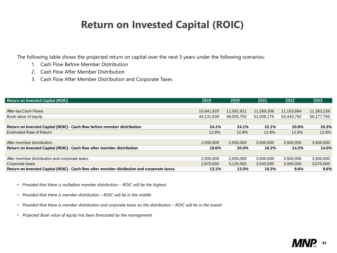

The following table shows the projected return on capital over the next 5 years under the following scenarios:

- 1. Cash Flow Before Member Distribution
- 2. Cash Flow After Member Distribution
- 3. Cash Flow After Member Distribution and Corporate Taxes

| <b>Return on Invested Capital (ROIC)</b>                                                   | 2019       | 2020       | 2021       | 2022       | 2023       |
|--------------------------------------------------------------------------------------------|------------|------------|------------|------------|------------|
|                                                                                            |            |            |            |            |            |
| After-tax Cash Flows                                                                       | 10,641,820 | 11,591,921 | 11,269,206 | 11,103,884 | 11,383,238 |
| Book value of equity                                                                       | 44,131,839 | 48,005,750 | 51,008,176 | 53,443,792 | 56,177,750 |
|                                                                                            |            |            |            |            |            |
| Return on Invested Capital (ROIC) - Cash flow before member distribution                   | 24.1%      | 24.1%      | 22.1%      | 20.8%      | 20.3%      |
| <b>Estimated Rate of Return</b>                                                            | 12.8%      | 12.8%      | 12.8%      | 12.8%      | 12.8%      |
|                                                                                            |            |            |            |            |            |
| After member distribution:                                                                 | 2,000,000  | 2,000,000  | 3,000,000  | 3,500,000  | 3,500,000  |
| Return on Invested Capital (ROIC) - Cash flow after member distribution                    | 19.6%      | 20.0%      | 16.2%      | 14.2%      | 14.0%      |
|                                                                                            |            |            |            |            |            |
| After member distribution and corporate taxes:                                             | 2,000,000  | 2,000,000  | 3,000,000  | 3,500,000  | 3,500,000  |
| Corporate taxes                                                                            | 2,870,000  | 3,130,000  | 3,040,000  | 3,000,000  | 3,070,000  |
| Return on Invested Capital (ROIC) - Cash flow after member distibution and corporate taxes | 13.1%      | 13.5%      | 10.3%      | 8.6%       | 8.6%       |

- *Provided that there is no/before member distribution – ROIC will be the highest*
- *Provided that there is member distribution – ROIC will be in the middle*
- Provided that there is member distribution and corporate taxes on the distribution ROIC will be in the lowest
- *Projected Book value of equity has been forecasted by the management*

## **Return on Invested Capital (ROIC)**